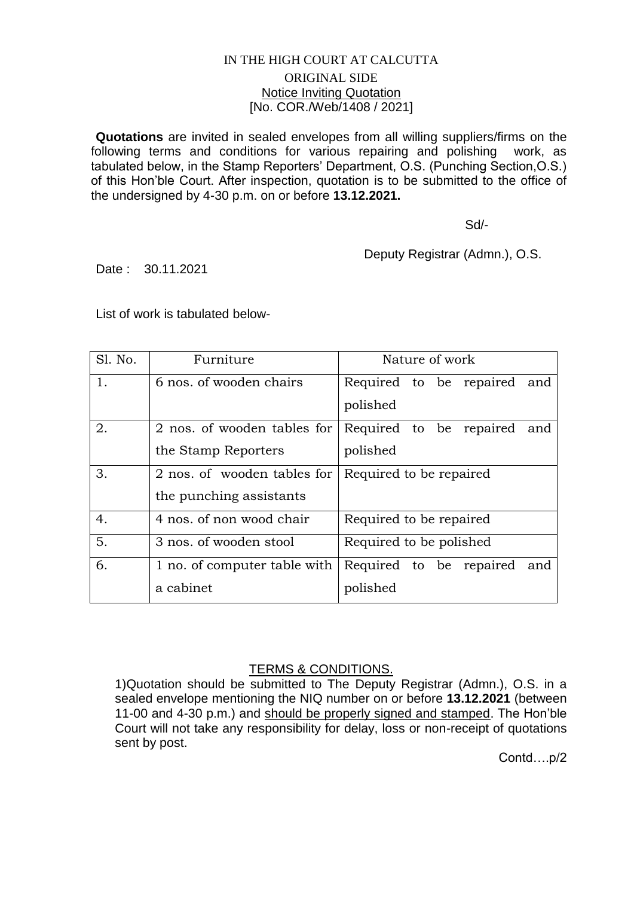## IN THE HIGH COURT AT CALCUTTA ORIGINAL SIDE Notice Inviting Quotation [No. COR./Web/1408 / 2021]

**Quotations** are invited in sealed envelopes from all willing suppliers/firms on the following terms and conditions for various repairing and polishing work, as tabulated below, in the Stamp Reporters' Department, O.S. (Punching Section,O.S.) of this Hon'ble Court. After inspection, quotation is to be submitted to the office of the undersigned by 4-30 p.m. on or before **13.12.2021.**

Sd/-

Deputy Registrar (Admn.), O.S.

Date : 30.11.2021

List of work is tabulated below-

| Sl. No. | Furniture                    | Nature of work                 |
|---------|------------------------------|--------------------------------|
| 1.      | 6 nos. of wooden chairs      | Required to be repaired and    |
|         |                              | polished                       |
| 2.      | 2 nos. of wooden tables for  | Required to be repaired<br>and |
|         | the Stamp Reporters          | polished                       |
| 3.      | 2 nos. of wooden tables for  | Required to be repaired        |
|         | the punching assistants      |                                |
| 4.      | 4 nos. of non wood chair     | Required to be repaired        |
| 5.      | 3 nos. of wooden stool       | Required to be polished        |
| 6.      | 1 no. of computer table with | Required to be repaired<br>and |
|         | a cabinet                    | polished                       |

## TERMS & CONDITIONS.

1)Quotation should be submitted to The Deputy Registrar (Admn.), O.S. in a sealed envelope mentioning the NIQ number on or before **13.12.2021** (between 11-00 and 4-30 p.m.) and should be properly signed and stamped. The Hon'ble Court will not take any responsibility for delay, loss or non-receipt of quotations sent by post.

Contd….p/2